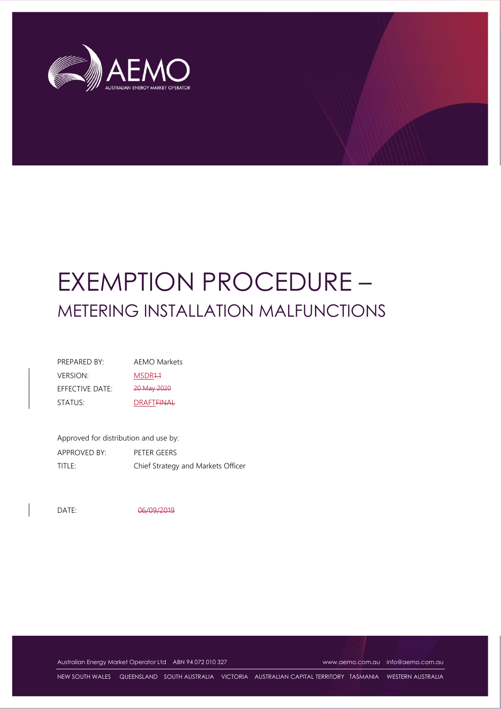

# EXEMPTION PROCEDURE – METERING INSTALLATION MALFUNCTIONS

| PRFPARFD BY:       | <b>AEMO Markets</b>          |
|--------------------|------------------------------|
| <b>VERSION:</b>    | MSDR <sub>44</sub>           |
| $F$ FFFCTIVF DATF: | 20 May 2020                  |
| STATUS:            | <b>DRAFT<del>FINAL</del></b> |

Approved for distribution and use by: APPROVED BY: PETER GEERS TITLE: Chief Strategy and Markets Officer

DATE: 06/09/2019

Australian Energy Market Operator Ltd ABN 94 072 010 327 [www.aemo.com.au](http://www.aemo.com.au/) [info@aemo.com.au](mailto:info@aemo.com.au)

NEW SOUTH WALES QUEENSLAND SOUTH AUSTRALIA VICTORIA AUSTRALIAN CAPITAL TERRITORY TASMANIA WESTERN AUSTRALIA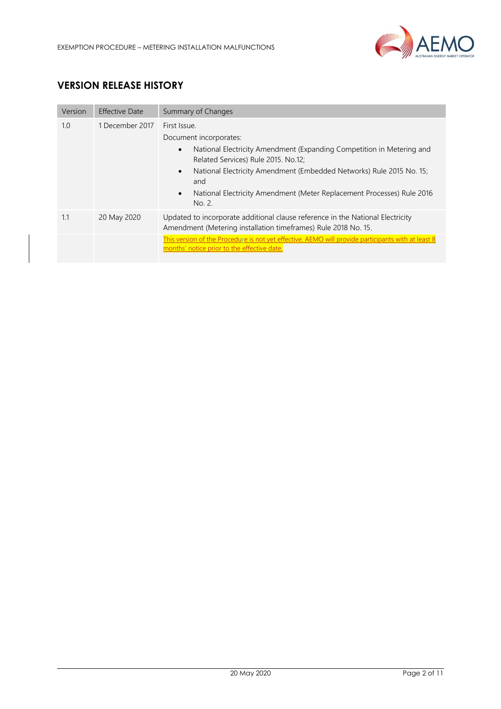

# **VERSION RELEASE HISTORY**

| Version | Effective Date  | Summary of Changes                                                                                                                                                                                                                                                                                                                                  |  |
|---------|-----------------|-----------------------------------------------------------------------------------------------------------------------------------------------------------------------------------------------------------------------------------------------------------------------------------------------------------------------------------------------------|--|
| 1.0     | 1 December 2017 | First Issue.<br>Document incorporates:<br>National Electricity Amendment (Expanding Competition in Metering and<br>$\bullet$<br>Related Services) Rule 2015. No.12;<br>National Electricity Amendment (Embedded Networks) Rule 2015 No. 15;<br>$\bullet$<br>and<br>National Electricity Amendment (Meter Replacement Processes) Rule 2016<br>No. 2. |  |
| 1.1     | 20 May 2020     | Updated to incorporate additional clause reference in the National Electricity<br>Amendment (Metering installation timeframes) Rule 2018 No. 15.                                                                                                                                                                                                    |  |
|         |                 | This version of the Procedure is not yet effective. AEMO will provide participants with at least 8<br>months' notice prior to the effective date.                                                                                                                                                                                                   |  |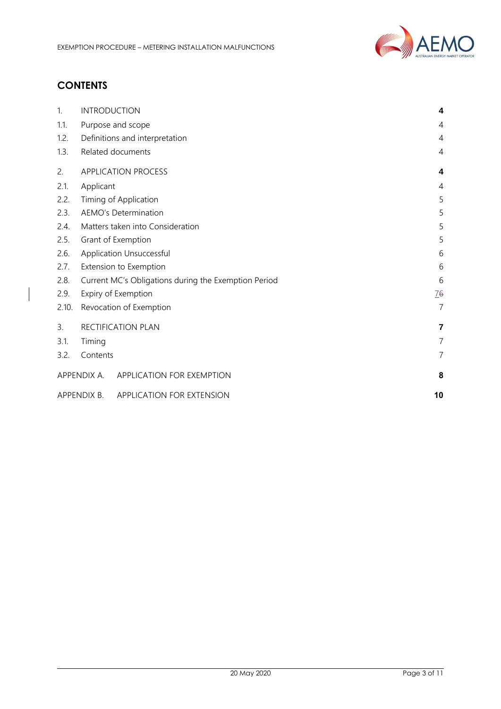

# **CONTENTS**

| 1.    | <b>INTRODUCTION</b>                                       | 4              |
|-------|-----------------------------------------------------------|----------------|
| 1.1.  | Purpose and scope                                         | 4              |
| 1.2.  |                                                           |                |
|       | Definitions and interpretation                            | 4              |
| 1.3.  | Related documents                                         | 4              |
| 2.    | <b>APPLICATION PROCESS</b>                                | 4              |
| 2.1.  | Applicant                                                 | 4              |
| 2.2.  | Timing of Application                                     | 5              |
| 2.3.  | <b>AEMO's Determination</b>                               | 5              |
| 2.4.  | Matters taken into Consideration                          |                |
| 2.5.  | Grant of Exemption                                        |                |
| 2.6.  | Application Unsuccessful                                  |                |
| 2.7.  | Extension to Exemption                                    |                |
| 2.8.  | Current MC's Obligations during the Exemption Period<br>6 |                |
| 2.9.  | Expiry of Exemption<br><u>76</u>                          |                |
| 2.10. | $\overline{7}$<br>Revocation of Exemption                 |                |
| 3.    | RECTIFICATION PLAN                                        | 7              |
| 3.1.  | Timing                                                    | $\overline{7}$ |
| 3.2.  | Contents                                                  | $\overline{7}$ |
|       | APPENDIX A. APPLICATION FOR EXEMPTION                     | 8              |
|       | APPENDIX B.<br>APPLICATION FOR EXTENSION                  | 10             |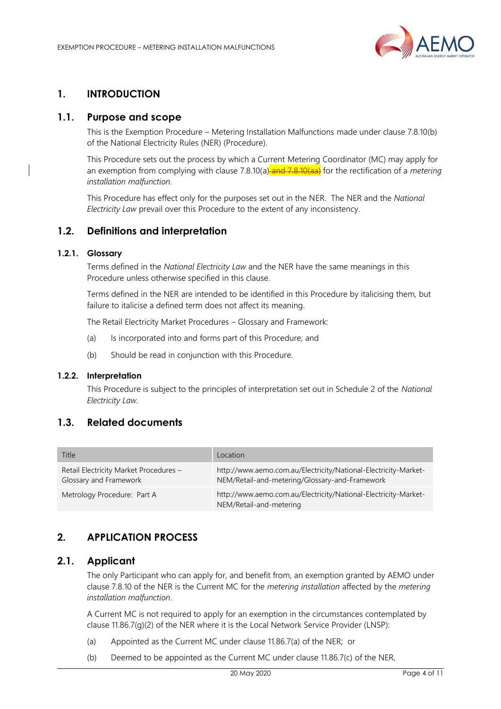

# <span id="page-3-0"></span>**1. INTRODUCTION**

# <span id="page-3-1"></span>**1.1. Purpose and scope**

This is the Exemption Procedure – Metering Installation Malfunctions made under clause 7.8.10(b) of the National Electricity Rules (NER) (Procedure).

This Procedure sets out the process by which a Current Metering Coordinator (MC) may apply for an exemption from complying with clause 7.8.10(a) and 7.8.10(aa) for the rectification of a *metering installation malfunction.*

This Procedure has effect only for the purposes set out in the NER. The NER and the *National Electricity Law* prevail over this Procedure to the extent of any inconsistency.

## <span id="page-3-2"></span>**1.2. Definitions and interpretation**

#### **1.2.1. Glossary**

Terms defined in the *National Electricity Law* and the NER have the same meanings in this Procedure unless otherwise specified in this clause.

Terms defined in the NER are intended to be identified in this Procedure by italicising them, but failure to italicise a defined term does not affect its meaning.

The Retail Electricity Market Procedures – Glossary and Framework:

- (a) Is incorporated into and forms part of this Procedure; and
- (b) Should be read in conjunction with this Procedure.

#### **1.2.2. Interpretation**

This Procedure is subject to the principles of interpretation set out in Schedule 2 of the *National Electricity Law.*

# <span id="page-3-3"></span>**1.3. Related documents**

| Title                                                            | Location                                                                                                          |
|------------------------------------------------------------------|-------------------------------------------------------------------------------------------------------------------|
| Retail Electricity Market Procedures -<br>Glossary and Framework | http://www.aemo.com.au/Electricity/National-Electricity-Market-<br>NEM/Retail-and-metering/Glossary-and-Framework |
| Metrology Procedure: Part A                                      | http://www.aemo.com.au/Electricity/National-Electricity-Market-<br>NEM/Retail-and-metering                        |

# <span id="page-3-4"></span>**2. APPLICATION PROCESS**

#### <span id="page-3-5"></span>**2.1. Applicant**

The only Participant who can apply for, and benefit from, an exemption granted by AEMO under clause 7.8.10 of the NER is the Current MC for the *metering installation* affected by the *metering installation malfunction*.

A Current MC is not required to apply for an exemption in the circumstances contemplated by clause 11.86.7(g)(2) of the NER where it is the Local Network Service Provider (LNSP):

- (a) Appointed as the Current MC under clause 11.86.7(a) of the NER; or
- (b) Deemed to be appointed as the Current MC under clause 11.86.7(c) of the NER,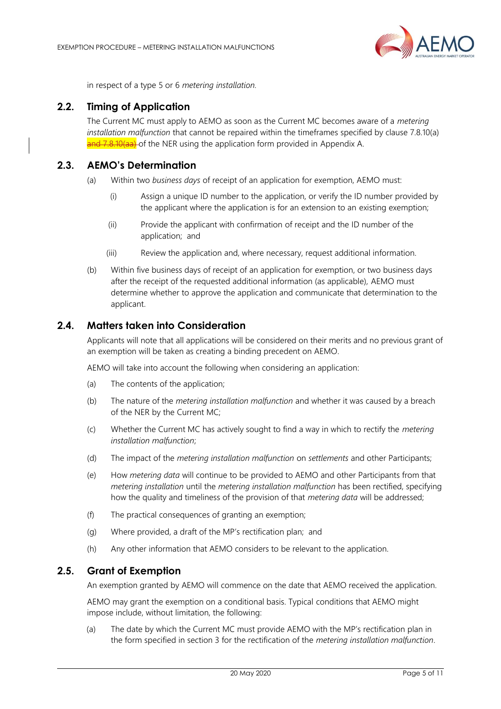

in respect of a type 5 or 6 *metering installation.*

# <span id="page-4-0"></span>**2.2. Timing of Application**

The Current MC must apply to AEMO as soon as the Current MC becomes aware of a *metering installation malfunction* that cannot be repaired within the timeframes specified by clause 7.8.10(a) and 7.8.10(aa) of the NER using the application form provided in Appendix A.

# <span id="page-4-1"></span>**2.3. AEMO's Determination**

- (a) Within two *business days* of receipt of an application for exemption, AEMO must:
	- (i) Assign a unique ID number to the application, or verify the ID number provided by the applicant where the application is for an extension to an existing exemption;
	- (ii) Provide the applicant with confirmation of receipt and the ID number of the application; and
	- (iii) Review the application and, where necessary, request additional information.
- (b) Within five business days of receipt of an application for exemption, or two business days after the receipt of the requested additional information (as applicable), AEMO must determine whether to approve the application and communicate that determination to the applicant.

#### <span id="page-4-2"></span>**2.4. Matters taken into Consideration**

Applicants will note that all applications will be considered on their merits and no previous grant of an exemption will be taken as creating a binding precedent on AEMO.

AEMO will take into account the following when considering an application:

- (a) The contents of the application;
- (b) The nature of the *metering installation malfunction* and whether it was caused by a breach of the NER by the Current MC;
- (c) Whether the Current MC has actively sought to find a way in which to rectify the *metering installation malfunction*;
- (d) The impact of the *metering installation malfunction* on *settlements* and other Participants;
- (e) How *metering data* will continue to be provided to AEMO and other Participants from that *metering installation* until the *metering installation malfunction* has been rectified, specifying how the quality and timeliness of the provision of that *metering data* will be addressed;
- (f) The practical consequences of granting an exemption;
- (g) Where provided, a draft of the MP's rectification plan; and
- (h) Any other information that AEMO considers to be relevant to the application.

#### <span id="page-4-3"></span>**2.5. Grant of Exemption**

An exemption granted by AEMO will commence on the date that AEMO received the application.

AEMO may grant the exemption on a conditional basis. Typical conditions that AEMO might impose include, without limitation, the following:

(a) The date by which the Current MC must provide AEMO with the MP's rectification plan in the form specified in section 3 for the rectification of the *metering installation malfunction*.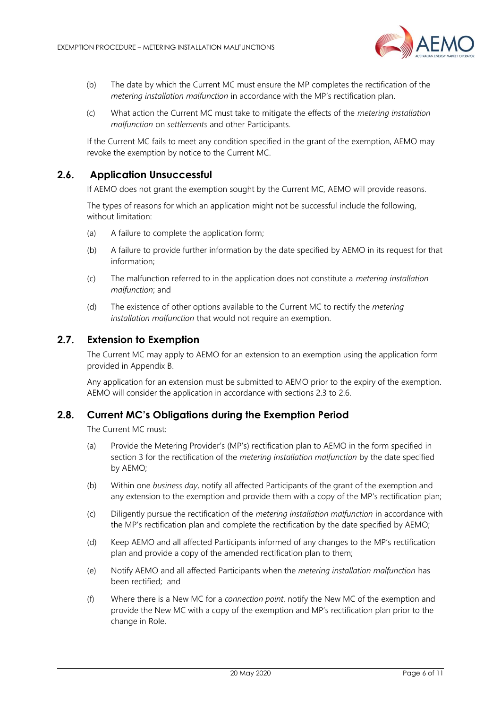

- (b) The date by which the Current MC must ensure the MP completes the rectification of the *metering installation malfunction* in accordance with the MP's rectification plan.
- (c) What action the Current MC must take to mitigate the effects of the *metering installation malfunction* on *settlements* and other Participants.

If the Current MC fails to meet any condition specified in the grant of the exemption, AEMO may revoke the exemption by notice to the Current MC.

## **2.6. Application Unsuccessful**

<span id="page-5-0"></span>If AEMO does not grant the exemption sought by the Current MC, AEMO will provide reasons.

The types of reasons for which an application might not be successful include the following, without limitation:

- (a) A failure to complete the application form;
- (b) A failure to provide further information by the date specified by AEMO in its request for that information;
- (c) The malfunction referred to in the application does not constitute a *metering installation malfunction*; and
- (d) The existence of other options available to the Current MC to rectify the *metering installation malfunction* that would not require an exemption.

## <span id="page-5-1"></span>**2.7. Extension to Exemption**

The Current MC may apply to AEMO for an extension to an exemption using the application form provided in Appendix B.

Any application for an extension must be submitted to AEMO prior to the expiry of the exemption. AEMO will consider the application in accordance with sections 2.3 to 2.6.

#### <span id="page-5-2"></span>**2.8. Current MC's Obligations during the Exemption Period**

The Current MC must:

- (a) Provide the Metering Provider's (MP's) rectification plan to AEMO in the form specified in section 3 for the rectification of the *metering installation malfunction* by the date specified by AEMO;
- (b) Within one *business day*, notify all affected Participants of the grant of the exemption and any extension to the exemption and provide them with a copy of the MP's rectification plan;
- (c) Diligently pursue the rectification of the *metering installation malfunction* in accordance with the MP's rectification plan and complete the rectification by the date specified by AEMO;
- (d) Keep AEMO and all affected Participants informed of any changes to the MP's rectification plan and provide a copy of the amended rectification plan to them;
- (e) Notify AEMO and all affected Participants when the *metering installation malfunction* has been rectified; and
- (f) Where there is a New MC for a *connection point*, notify the New MC of the exemption and provide the New MC with a copy of the exemption and MP's rectification plan prior to the change in Role.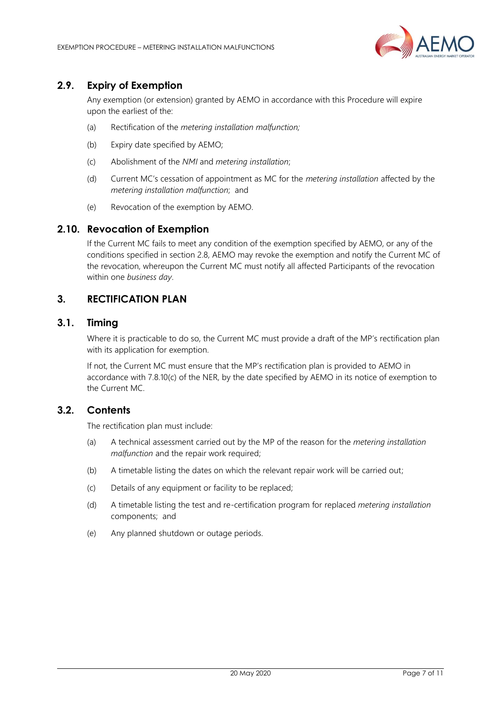

# <span id="page-6-0"></span>**2.9. Expiry of Exemption**

Any exemption (or extension) granted by AEMO in accordance with this Procedure will expire upon the earliest of the:

- (a) Rectification of the *metering installation malfunction;*
- (b) Expiry date specified by AEMO;
- (c) Abolishment of the *NMI* and *metering installation*;
- (d) Current MC's cessation of appointment as MC for the *metering installation* affected by the *metering installation malfunction*; and
- (e) Revocation of the exemption by AEMO.

# <span id="page-6-1"></span>**2.10. Revocation of Exemption**

If the Current MC fails to meet any condition of the exemption specified by AEMO, or any of the conditions specified in section 2.8, AEMO may revoke the exemption and notify the Current MC of the revocation, whereupon the Current MC must notify all affected Participants of the revocation within one *business day*.

# <span id="page-6-2"></span>**3. RECTIFICATION PLAN**

# <span id="page-6-3"></span>**3.1. Timing**

Where it is practicable to do so, the Current MC must provide a draft of the MP's rectification plan with its application for exemption.

If not, the Current MC must ensure that the MP's rectification plan is provided to AEMO in accordance with 7.8.10(c) of the NER, by the date specified by AEMO in its notice of exemption to the Current MC.

## <span id="page-6-4"></span>**3.2. Contents**

The rectification plan must include:

- (a) A technical assessment carried out by the MP of the reason for the *metering installation malfunction* and the repair work required;
- (b) A timetable listing the dates on which the relevant repair work will be carried out;
- (c) Details of any equipment or facility to be replaced;
- (d) A timetable listing the test and re-certification program for replaced *metering installation* components; and
- (e) Any planned shutdown or outage periods.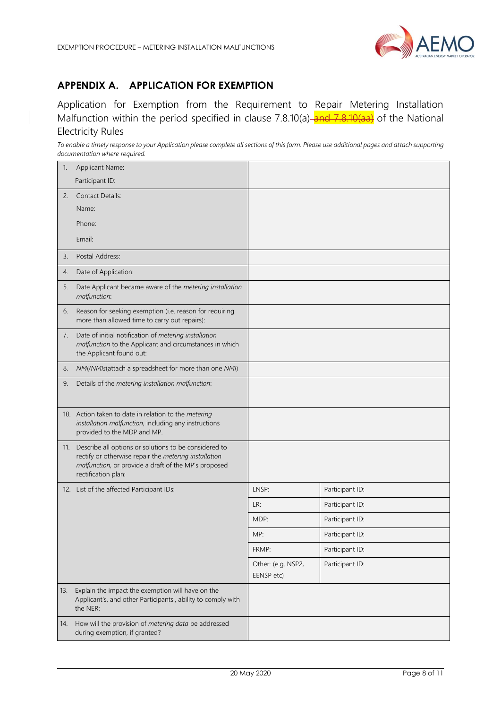

# <span id="page-7-0"></span>**APPENDIX A. APPLICATION FOR EXEMPTION**

Application for Exemption from the Requirement to Repair Metering Installation Malfunction within the period specified in clause 7.8.10(a) and 7.8.10(aa) of the National Electricity Rules

*To enable a timely response to your Application please complete all sections of this form. Please use additional pages and attach supporting documentation where required.*

| 1.  | Applicant Name:<br>Participant ID:                                                                                                                                                                |                                  |                 |
|-----|---------------------------------------------------------------------------------------------------------------------------------------------------------------------------------------------------|----------------------------------|-----------------|
| 2.  | <b>Contact Details:</b>                                                                                                                                                                           |                                  |                 |
|     | Name:                                                                                                                                                                                             |                                  |                 |
|     | Phone:                                                                                                                                                                                            |                                  |                 |
|     | Email:                                                                                                                                                                                            |                                  |                 |
| 3.  | Postal Address:                                                                                                                                                                                   |                                  |                 |
| 4.  | Date of Application:                                                                                                                                                                              |                                  |                 |
| 5.  | Date Applicant became aware of the metering installation<br>malfunction:                                                                                                                          |                                  |                 |
| 6.  | Reason for seeking exemption (i.e. reason for requiring<br>more than allowed time to carry out repairs):                                                                                          |                                  |                 |
| 7.  | Date of initial notification of metering installation<br>malfunction to the Applicant and circumstances in which<br>the Applicant found out:                                                      |                                  |                 |
| 8.  | NMI/NMIs(attach a spreadsheet for more than one NMI)                                                                                                                                              |                                  |                 |
| 9.  | Details of the metering installation malfunction:                                                                                                                                                 |                                  |                 |
|     | 10. Action taken to date in relation to the metering<br>installation malfunction, including any instructions<br>provided to the MDP and MP.                                                       |                                  |                 |
|     | 11. Describe all options or solutions to be considered to<br>rectify or otherwise repair the metering installation<br>malfunction, or provide a draft of the MP's proposed<br>rectification plan: |                                  |                 |
|     | 12. List of the affected Participant IDs:                                                                                                                                                         | LNSP:                            | Participant ID: |
|     |                                                                                                                                                                                                   | LR:                              | Participant ID: |
|     |                                                                                                                                                                                                   | MDP:                             | Participant ID: |
|     |                                                                                                                                                                                                   | MP:                              | Participant ID: |
|     |                                                                                                                                                                                                   | FRMP:                            | Participant ID: |
|     |                                                                                                                                                                                                   | Other: (e.g. NSP2,<br>EENSP etc) | Participant ID: |
| 13. | Explain the impact the exemption will have on the<br>Applicant's, and other Participants', ability to comply with<br>the NER:                                                                     |                                  |                 |
| 14. | How will the provision of metering data be addressed<br>during exemption, if granted?                                                                                                             |                                  |                 |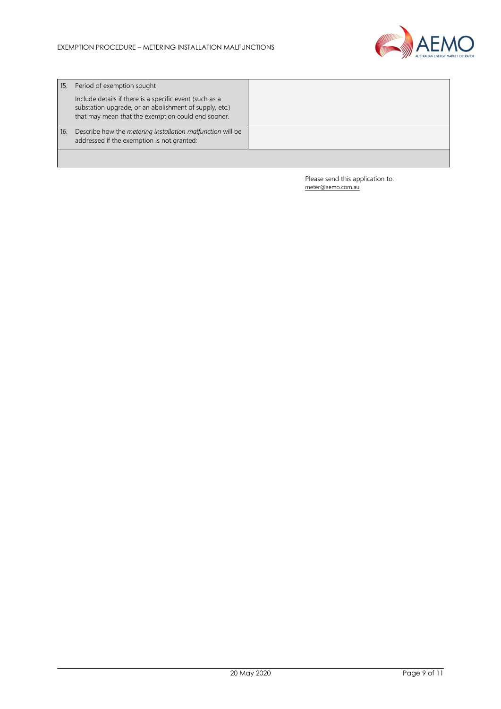

| 15. | Period of exemption sought                                                                                                                                              |  |
|-----|-------------------------------------------------------------------------------------------------------------------------------------------------------------------------|--|
|     | Include details if there is a specific event (such as a<br>substation upgrade, or an abolishment of supply, etc.)<br>that may mean that the exemption could end sooner. |  |
| 16. | Describe how the <i>metering installation malfunction</i> will be<br>addressed if the exemption is not granted:                                                         |  |
|     |                                                                                                                                                                         |  |

Please send this application to: [meter@aemo.com.au](mailto:meter@nemmco.com.au)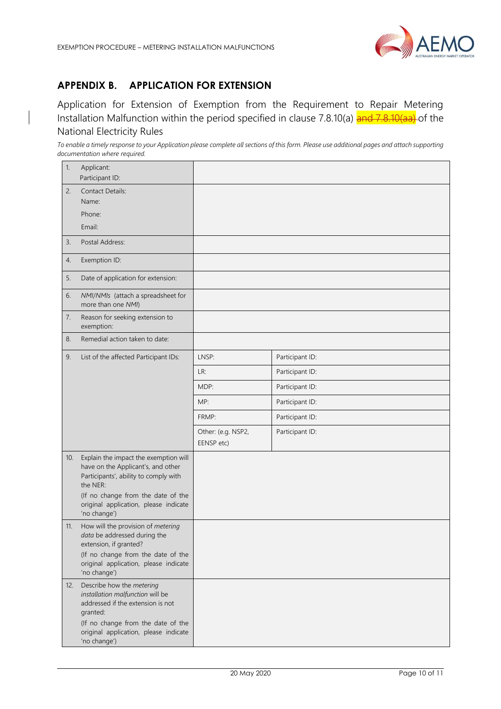

# <span id="page-9-0"></span>**APPENDIX B. APPLICATION FOR EXTENSION**

Application for Extension of Exemption from the Requirement to Repair Metering Installation Malfunction within the period specified in clause 7.8.10(a) and 7.8.10(aa) of the National Electricity Rules

*To enable a timely response to your Application please complete all sections of this form. Please use additional pages and attach supporting documentation where required.* 

| 1.  | Applicant:<br>Participant ID:                                                                                                                                                                                 |                                  |                 |
|-----|---------------------------------------------------------------------------------------------------------------------------------------------------------------------------------------------------------------|----------------------------------|-----------------|
| 2.  | <b>Contact Details:</b><br>Name:                                                                                                                                                                              |                                  |                 |
|     | Phone:                                                                                                                                                                                                        |                                  |                 |
|     | Email:                                                                                                                                                                                                        |                                  |                 |
| 3.  | Postal Address:                                                                                                                                                                                               |                                  |                 |
| 4.  | Exemption ID:                                                                                                                                                                                                 |                                  |                 |
| 5.  | Date of application for extension:                                                                                                                                                                            |                                  |                 |
| 6.  | NMI/NMIs (attach a spreadsheet for<br>more than one NMI)                                                                                                                                                      |                                  |                 |
| 7.  | Reason for seeking extension to<br>exemption:                                                                                                                                                                 |                                  |                 |
| 8.  | Remedial action taken to date:                                                                                                                                                                                |                                  |                 |
| 9.  | List of the affected Participant IDs:                                                                                                                                                                         | LNSP:                            | Participant ID: |
|     |                                                                                                                                                                                                               | LR:                              | Participant ID: |
|     |                                                                                                                                                                                                               | MDP:                             | Participant ID: |
|     |                                                                                                                                                                                                               | MP:                              | Participant ID: |
|     |                                                                                                                                                                                                               | FRMP:                            | Participant ID: |
|     |                                                                                                                                                                                                               | Other: (e.g. NSP2,<br>EENSP etc) | Participant ID: |
| 10. | Explain the impact the exemption will<br>have on the Applicant's, and other<br>Participants', ability to comply with<br>the NER:                                                                              |                                  |                 |
|     | (If no change from the date of the<br>original application, please indicate<br>'no change')                                                                                                                   |                                  |                 |
| 11. | How will the provision of metering<br>data be addressed during the<br>extension, if granted?                                                                                                                  |                                  |                 |
|     | (If no change from the date of the<br>original application, please indicate<br>'no change')                                                                                                                   |                                  |                 |
| 12. | Describe how the metering<br>installation malfunction will be<br>addressed if the extension is not<br>granted:<br>(If no change from the date of the<br>original application, please indicate<br>'no change') |                                  |                 |